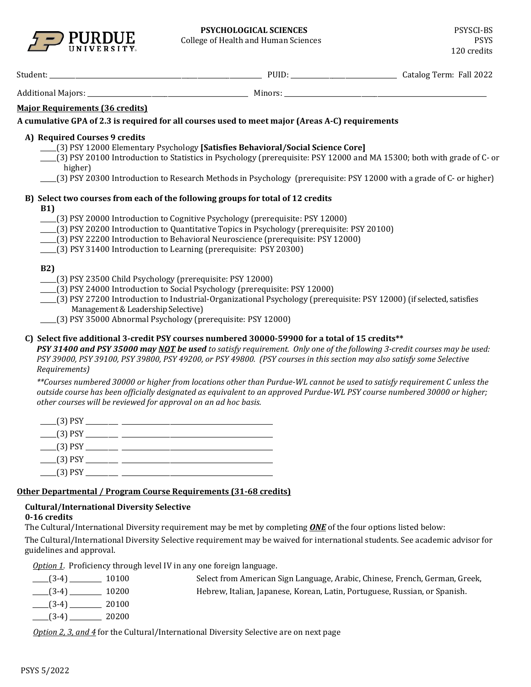

| <b>UNIVERSITY</b>                                                                                                                                                           |                                                                                                                                                                                                                                                                                                                                                         | 120 credits |
|-----------------------------------------------------------------------------------------------------------------------------------------------------------------------------|---------------------------------------------------------------------------------------------------------------------------------------------------------------------------------------------------------------------------------------------------------------------------------------------------------------------------------------------------------|-------------|
|                                                                                                                                                                             |                                                                                                                                                                                                                                                                                                                                                         |             |
|                                                                                                                                                                             |                                                                                                                                                                                                                                                                                                                                                         |             |
| <b>Major Requirements (36 credits)</b>                                                                                                                                      |                                                                                                                                                                                                                                                                                                                                                         |             |
|                                                                                                                                                                             | A cumulative GPA of 2.3 is required for all courses used to meet major (Areas A-C) requirements                                                                                                                                                                                                                                                         |             |
| A) Required Courses 9 credits<br>higher)                                                                                                                                    | [3] PSY 12000 Elementary Psychology [Satisfies Behavioral/Social Science Core]<br>(3) PSY 20100 Introduction to Statistics in Psychology (prerequisite: PSY 12000 and MA 15300; both with grade of C- or<br>(3) PSY 20300 Introduction to Research Methods in Psychology (prerequisite: PSY 12000 with a grade of C- or higher)                         |             |
| <b>B1)</b><br>(3) PSY 31400 Introduction to Learning (prerequisite: PSY 20300)                                                                                              | B) Select two courses from each of the following groups for total of 12 credits<br>[3] PSY 20000 Introduction to Cognitive Psychology (prerequisite: PSY 12000)<br>____(3) PSY 20200 Introduction to Quantitative Topics in Psychology (prerequisite: PSY 20100)<br>____(3) PSY 22200 Introduction to Behavioral Neuroscience (prerequisite: PSY 12000) |             |
| <b>B2)</b><br>[3] PSY 23500 Child Psychology (prerequisite: PSY 12000)<br>Management & Leadership Selective)<br>[3] PSY 35000 Abnormal Psychology (prerequisite: PSY 12000) | [3] PSY 24000 Introduction to Social Psychology (prerequisite: PSY 12000)<br>[3] PSY 27200 Introduction to Industrial-Organizational Psychology (prerequisite: PSY 12000) (if selected, satisfies                                                                                                                                                       |             |
| Requirements)                                                                                                                                                               | C) Select five additional 3-credit PSY courses numbered 30000-59900 for a total of 15 credits**<br>PSY 31400 and PSY 35000 may NOT be used to satisfy requirement. Only one of the following 3-credit courses may be used:<br>PSY 39000, PSY 39100, PSY 39800, PSY 49200, or PSY 49800. (PSY courses in this section may also satisfy some Selective    |             |
| other courses will be reviewed for approval on an ad hoc basis.                                                                                                             | **Courses numbered 30000 or higher from locations other than Purdue-WL cannot be used to satisfy requirement C unless the<br>outside course has been officially designated as equivalent to an approved Purdue-WL PSY course numbered 30000 or higher;                                                                                                  |             |

| $(3)$ PSY |  |
|-----------|--|
| $(3)$ PSY |  |
| $(3)$ PSY |  |
| $(3)$ PSY |  |
| $(3)$ PSY |  |

## **Other Departmental / Program Course Requirements (31-68 credits)**

## **Cultural/International Diversity Selective**

## **0-16 credits**

The Cultural/International Diversity requirement may be met by completing *ONE* of the four options listed below:

The Cultural/International Diversity Selective requirement may be waived for international students. See academic advisor for guidelines and approval.

*Option 1*. Proficiency through level IV in any one foreign language.

| 10100<br>$(3-4)$                                                                  | Select from American Sign Language, Arabic, Chinese, French, German, Greek, |
|-----------------------------------------------------------------------------------|-----------------------------------------------------------------------------|
| 10200<br>$(3-4)$                                                                  | Hebrew, Italian, Japanese, Korean, Latin, Portuguese, Russian, or Spanish.  |
| 20100<br>$(3-4)$                                                                  |                                                                             |
| 20200<br>$(3-4)$                                                                  |                                                                             |
| $\alpha$ is a $\alpha$ if $\alpha$ is $\alpha$ if $\alpha$ is the set of $\alpha$ | $\cdots$ $\alpha$ $\cdots$                                                  |

*Option 2, 3, and 4* for the Cultural/International Diversity Selective are on next page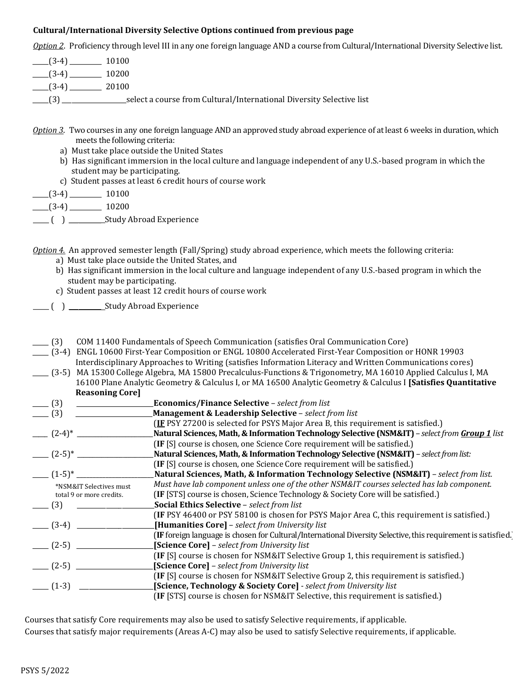### **Cultural/International Diversity Selective Options continued from previous page**

*Option 2*. Proficiency through level III in any one foreign language AND a course from Cultural/International Diversity Selective list.

| $(3-4)$ $(3-4)$ $(10100)$ |                                                                                                       |
|---------------------------|-------------------------------------------------------------------------------------------------------|
| $(3-4)$ 10200             |                                                                                                       |
| $(3-4)$ 20100             |                                                                                                       |
|                           | _____(3) ________________________select a course from Cultural/International Diversity Selective list |

- *Option 3*. Two courses in any one foreign language AND an approved study abroad experience of at least 6 weeks in duration, which meets the following criteria:
	- a) Must take place outside the United States
	- b) Has significant immersion in the local culture and language independent of any U.S.-based program in which the student may be participating.
	- c) Student passes at least 6 credit hours of course work

 $\frac{1}{2}$  (3-4)  $\frac{10100}{2}$ 

 $\frac{(-1)^{3-4}}{2}$   $\frac{10200}{2}$ 

\_\_\_\_\_ ( ) \_\_\_\_\_\_\_\_\_\_ Study Abroad Experience

*Option 4.* An approved semester length (Fall/Spring) study abroad experience, which meets the following criteria:

- a) Must take place outside the United States, and
- b) Has significant immersion in the local culture and language independent of any U.S.-based program in which the student may be participating.
- c) Student passes at least 12 credit hours of course work
- \_\_\_\_\_ ( ) \_\_\_\_\_\_\_\_\_\_ Study Abroad Experience
- \_\_\_\_\_ (3) COM 11400 Fundamentals of Speech Communication (satisfies Oral Communication Core)
- \_\_\_\_\_ (3-4) ENGL 10600 First-Year Composition or ENGL 10800 Accelerated First-Year Composition or HONR 19903 Interdisciplinary Approaches to Writing (satisfies Information Literacy and Written Communications cores)
- \_\_\_\_\_ (3-5) MA 15300 College Algebra, MA 15800 Precalculus-Functions & Trigonometry, MA 16010 Applied Calculus I, MA 16100 Plane Analytic Geometry & Calculus I, or MA 16500 Analytic Geometry & Calculus I **[Satisfies Quantitative Reasoning Core]**

| (3)                                   | <b>Economics/Finance Selective - select from list</b>                                                                 |
|---------------------------------------|-----------------------------------------------------------------------------------------------------------------------|
| (3)                                   | Management & Leadership Selective - select from list                                                                  |
|                                       | (IF PSY 27200 is selected for PSYS Major Area B, this requirement is satisfied.)                                      |
| $(2-4)^*$                             | Natural Sciences, Math, & Information Technology Selective (NSM&IT) - select from Group 1 list                        |
|                                       | (IF [S] course is chosen, one Science Core requirement will be satisfied.)                                            |
| $\frac{1}{2}$ $(2-5)^*$ $\frac{1}{2}$ | Natural Sciences, Math, & Information Technology Selective (NSM&IT) - select from list:                               |
|                                       | (IF [S] course is chosen, one Science Core requirement will be satisfied.)                                            |
| $\frac{1}{2}$ $(1-5)^*$ $\frac{1}{2}$ | Natural Sciences, Math, & Information Technology Selective (NSM&IT) - select from list.                               |
| *NSM&IT Selectives must               | Must have lab component unless one of the other NSM&IT courses selected has lab component.                            |
| total 9 or more credits.              | (IF [STS] course is chosen, Science Technology & Society Core will be satisfied.)                                     |
| (3)                                   | Social Ethics Selective - select from list                                                                            |
|                                       | (IF PSY 46400 or PSY 58100 is chosen for PSYS Major Area C, this requirement is satisfied.)                           |
| $\sim$ (3-4) $\sim$                   | [Humanities Core] - select from University list                                                                       |
|                                       | <b>(IF</b> foreign language is chosen for Cultural/International Diversity Selective, this requirement is satisfied.) |
| $(2-5)$                               | [Science Core] - select from University list                                                                          |
|                                       | (IF [S] course is chosen for NSM&IT Selective Group 1, this requirement is satisfied.)                                |
| $- (2-5)$                             | [Science Core] - select from University list                                                                          |
|                                       | (IF [S] course is chosen for NSM&IT Selective Group 2, this requirement is satisfied.)                                |
| $- (1-3)$                             | [Science, Technology & Society Core] - select from University list                                                    |
|                                       | (IF [STS] course is chosen for NSM&IT Selective, this requirement is satisfied.)                                      |
|                                       |                                                                                                                       |

Courses that satisfy Core requirements may also be used to satisfy Selective requirements, if applicable. Courses that satisfy major requirements (Areas A-C) may also be used to satisfy Selective requirements, if applicable.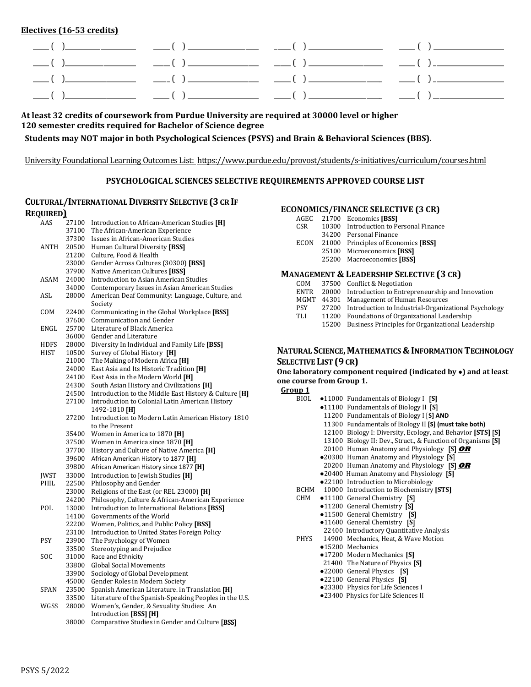**Electives (16-53 credits)**

**At least 32 credits of coursework from Purdue University are required at 30000 level or higher 120 semester credits required for Bachelor of Science degree**

**Students may NOT major in both Psychological Sciences (PSYS) and Brain & Behavioral Sciences (BBS).**

University Foundational Learning Outcomes List:<https://www.purdue.edu/provost/students/s-initiatives/curriculum/courses.html>

# **PSYCHOLOGICAL SCIENCES SELECTIVE REQUIREMENTS APPROVED COURSE LIST**

| <b>CULTURAL/INTERNATIONAL DIVERSITY SELECTIVE (3 CR IF</b> |  |                                                    |
|------------------------------------------------------------|--|----------------------------------------------------|
| <b>REQUIRED</b>                                            |  |                                                    |
| AAS                                                        |  | 27100 Introduction to African-American Studies [H] |

| AAS         | 27100 | Introduction to African-American Studies [H]           |
|-------------|-------|--------------------------------------------------------|
|             | 37100 | The African-American Experience                        |
|             | 37300 | Issues in African-American Studies                     |
| ANTH        | 20500 | Human Cultural Diversity [BSS]                         |
|             | 21200 | Culture, Food & Health                                 |
|             | 23000 | Gender Across Cultures (30300) [BSS]                   |
|             | 37900 | Native American Cultures [BSS]                         |
| ASAM        | 24000 | <b>Introduction to Asian American Studies</b>          |
|             | 34000 | Contemporary Issues in Asian American Studies          |
| ASL         | 28000 | American Deaf Community: Language, Culture, and        |
|             |       | Society                                                |
| COM         | 22400 | Communicating in the Global Workplace [BSS]            |
|             | 37600 | Communication and Gender                               |
| ENGL        | 25700 | Literature of Black America                            |
|             | 36000 | Gender and Literature                                  |
| HDFS        | 28000 | Diversity In Individual and Family Life [BSS]          |
| HIST        | 10500 | Survey of Global History [H]                           |
|             | 21000 | The Making of Modern Africa [H]                        |
|             | 24000 | East Asia and Its Historic Tradition [H]               |
|             | 24100 | East Asia in the Modern World [H]                      |
|             | 24300 | South Asian History and Civilizations [H]              |
|             | 24500 | Introduction to the Middle East History & Culture [H]  |
|             | 27100 | Introduction to Colonial Latin American History        |
|             |       | 1492-1810 [H]                                          |
|             | 27200 | Introduction to Modern Latin American History 1810     |
|             |       | to the Present                                         |
|             | 35400 | Women in America to 1870 [H]                           |
|             | 37500 | Women in America since 1870 [H]                        |
|             | 37700 | History and Culture of Native America [H]              |
|             | 39600 | African American History to 1877 [H]                   |
|             | 39800 | African American History since 1877 [H]                |
| <b>JWST</b> | 33000 | Introduction to Jewish Studies [H]                     |
| PHIL        | 22500 | Philosophy and Gender                                  |
|             | 23000 | Religions of the East (or REL 23000) [H]               |
|             | 24200 | Philosophy, Culture & African-American Experience      |
| POL         | 13000 | Introduction to International Relations [BSS]          |
|             | 14100 | Governments of the World                               |
|             | 22200 | Women, Politics, and Public Policy [BSS]               |
|             | 23100 | Introduction to United States Foreign Policy           |
| <b>PSY</b>  | 23900 | The Psychology of Women                                |
|             | 33500 | Stereotyping and Prejudice                             |
| SOC         | 31000 | Race and Ethnicity                                     |
|             | 33800 | <b>Global Social Movements</b>                         |
|             | 33900 | Sociology of Global Development                        |
|             | 45000 | Gender Roles in Modern Society                         |
| SPAN        | 23500 | Spanish American Literature. in Translation [H]        |
|             | 33500 | Literature of the Spanish-Speaking Peoples in the U.S. |
| WGSS        | 28000 | Women's, Gender, & Sexuality Studies: An               |
|             |       | Introduction [BSS] [H]                                 |
|             | 38000 | Comparative Studies in Gender and Culture [BSS]        |
|             |       |                                                        |

## **ECONOMICS/FINANCE SELECTIVE (3 CR)**

| AGEC       | 21700 Economics [BSS]                  |
|------------|----------------------------------------|
| <b>CSR</b> | 10300 Introduction to Personal Finance |
|            | 34200 Personal Finance                 |
| ECON       | 21000 Principles of Economics [BSS]    |
|            | 25100 Microeconomics [BSS]             |
|            | 25200 Macroeconomics [BSS]             |
|            |                                        |

## **MANAGEMENT & LEADERSHIP SELECTIVE (3 CR)**

| COM         |       | 37500 Conflict & Negotiation                          |
|-------------|-------|-------------------------------------------------------|
| <b>ENTR</b> |       | 20000 Introduction to Entrepreneurship and Innovation |
| MGMT        |       | 44301 Management of Human Resources                   |
| <b>PSY</b>  | 27200 | Introduction to Industrial-Organizational Psychology  |
| TLI         | 11200 | Foundations of Organizational Leadership              |
|             | 15200 | Business Principles for Organizational Leadership     |
|             |       |                                                       |

#### **NATURAL SCIENCE, MATHEMATICS & INFORMATION TECHNOLOGY** SELECTIVE LIST (9 CR)

**One laboratory component required (indicated by** ●**) and at least one course from Group 1.**

| BIOL | $\bullet$ 11000 Fundamentals of Biology I [S]                |
|------|--------------------------------------------------------------|
|      | •11100 Fundamentals of Biology II [S]                        |
|      | 11200 Fundamentals of Biology I [S] AND                      |
|      | 11300 Fundamentals of Biology II [S] (must take both)        |
|      | 12100 Biology I: Diversity, Ecology, and Behavior [STS] [S]  |
|      | 13100 Biology II: Dev., Struct., & Function of Organisms [S] |
|      | 20100 Human Anatomy and Physiology $[S]$ OR                  |
|      | •20300 Human Anatomy and Physiology [S]                      |
|      | 20200 Human Anatomy and Physiology [S] OR                    |
|      | •20400 Human Anatomy and Physiology [S]                      |
|      | .22100 Introduction to Microbiology                          |
| BCHM | 10000 Introduction to Biochemistry [STS]                     |
|      | CHM ●11100 General Chemistry [S]                             |
|      | •11200 General Chemistry [S]                                 |
|      | •11500 General Chemistry [S]                                 |
|      | •11600 General Chemistry [S]                                 |
|      | 22400 Introductory Quantitative Analysis                     |
|      | PHYS 14900 Mechanics, Heat, & Wave Motion                    |
|      | •15200 Mechanics                                             |
|      | •17200 Modern Mechanics [S]                                  |
|      | 21400 The Nature of Physics [S]                              |
|      | •22000 General Physics [S]                                   |
|      | •22100 General Physics [S]                                   |
|      | .23300 Physics for Life Sciences I                           |
|      | .23400 Physics for Life Sciences II                          |
|      |                                                              |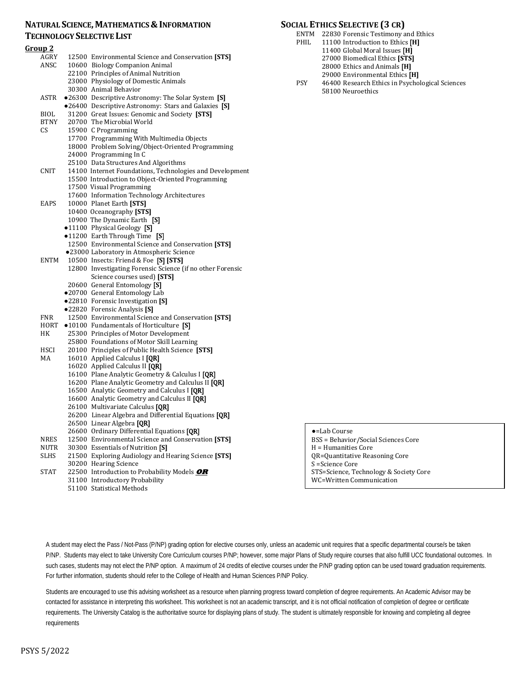#### **NATURAL SCIENCE, MATHEMATICS & INFORMATION TECHNOLOGY SELECTIVE LIST**

| <u>Group 2</u> |                                                                                                       |
|----------------|-------------------------------------------------------------------------------------------------------|
| AGRY           | 12500 Environmental Science and Conservation [STS]                                                    |
| ANSC           | 10600 Biology Companion Animal                                                                        |
|                | 22100 Principles of Animal Nutrition                                                                  |
|                | 23000 Physiology of Domestic Animals                                                                  |
|                | 30300 Animal Behavior                                                                                 |
| ASTR           | •26300 Descriptive Astronomy: The Solar System [S]                                                    |
|                | .26400 Descriptive Astronomy: Stars and Galaxies [S]                                                  |
| BIOL           | 31200 Great Issues: Genomic and Society [STS]                                                         |
| BIOL<br>BTNY   | 20700 The Microbial World                                                                             |
| CS             | 15900 C Programming                                                                                   |
|                | 17700 Programming With Multimedia Objects                                                             |
|                | 18000 Problem Solving/Object-Oriented Programming                                                     |
|                | 24000 Programming In C                                                                                |
|                | 25100 Data Structures And Algorithms                                                                  |
| CNIT           | 14100 Internet Foundations, Technologies and Development                                              |
|                | 15500 Introduction to Object-Oriented Programming                                                     |
|                | 17500 Visual Programming                                                                              |
|                | 17600 Information Technology Architectures                                                            |
| EAPS           | 10000 Planet Earth [STS]                                                                              |
|                | 10400 Oceanography [STS]                                                                              |
|                | 10900 The Dynamic Earth [S]                                                                           |
|                | ·11100 Physical Geology [S]                                                                           |
|                | •11200 Earth Through Time [S]                                                                         |
|                | 12500 Environmental Science and Conservation [STS]                                                    |
|                | ·23000 Laboratory in Atmospheric Science                                                              |
| <b>ENTM</b>    | 10500 Insects: Friend & Foe [S] [STS]                                                                 |
|                | 12800 Investigating Forensic Science (if no other Forensic                                            |
|                | Science courses used) [STS]                                                                           |
|                | 20600 General Entomology [S]                                                                          |
|                | ·20700 General Entomology Lab                                                                         |
|                | ·22810 Forensic Investigation [S]                                                                     |
|                | •22820 Forensic Analysis [S]                                                                          |
| FNR            | 12500 Environmental Science and Conservation [STS]                                                    |
| HORT           | •10100 Fundamentals of Horticulture [S]                                                               |
| HК             | 25300 Principles of Motor Development                                                                 |
|                | 25800 Foundations of Motor Skill Learning                                                             |
| HSCI           | 20100 Principles of Public Health Science [STS]                                                       |
| MA             | 16010 Applied Calculus I [QR]                                                                         |
|                | 16020 Applied Calculus II [QR]                                                                        |
|                | 16100 Plane Analytic Geometry & Calculus I [QR]<br>16200 Plane Analytic Geometry and Calculus II [QR] |
|                | 16500 Analytic Geometry and Calculus I [QR]                                                           |
|                | 16600 Analytic Geometry and Calculus II [QR]                                                          |
|                | 26100 Multivariate Calculus [QR]                                                                      |
|                | 26200 Linear Algebra and Differential Equations [QR]                                                  |
|                | 26500 Linear Algebra [QR]                                                                             |
|                | 26600 Ordinary Differential Equations [QR]                                                            |
| NRES           | 12500 Environmental Science and Conservation [STS]                                                    |
| NUTR           | 30300 Essentials of Nutrition [S]                                                                     |
| SLHS           | 21500 Exploring Audiology and Hearing Science [STS]                                                   |
|                | 30200 Hearing Science                                                                                 |
| <b>STAT</b>    | 22500 Introduction to Probability Models OR                                                           |
|                | 31100 Introductory Probability                                                                        |
|                | 51100 Statistical Methods                                                                             |
|                |                                                                                                       |

### **SOCIAL ETHICS SELECTIVE (3 CR)**

- ENTM 22830 Forensic Testimony and Ethics<br>PHIL 11100 Introduction to Ethics [H]
	- 11100 Introduction to Ethics [**H**]
	- 11400 Global Moral Issues [**H]**
		- 27000 Biomedical Ethics **[STS]**
		- 28000 Ethics and Animals [**H]**
- 29000 Environmental Ethics [**H]** PSY 46400 Research Ethics in Psychological Sciences
- 58100 Neuroethics

●=Lab Course BSS = Behavior/Social Sciences Core H = Humanities Core QR=Quantitative Reasoning Core S =Science Core STS=Science, Technology & Society Core WC=Written Communication

A student may elect the Pass / Not-Pass (P/NP) grading option for elective courses only, unless an academic unit requires that a specific departmental course/s be taken P/NP. Students may elect to take University Core Curriculum courses P/NP; however, some major Plans of Study require courses that also fulfill UCC foundational outcomes. In such cases, students may not elect the P/NP option. A maximum of 24 credits of elective courses under the P/NP grading option can be used toward graduation requirements. For further information, students should refer to the College of Health and Human Sciences P/NP Policy.

Students are encouraged to use this advising worksheet as a resource when planning progress toward completion of degree requirements. An Academic Advisor may be contacted for assistance in interpreting this worksheet. This worksheet is not an academic transcript, and it is not official notification of completion of degree or certificate requirements. The University Catalog is the authoritative source for displaying plans of study. The student is ultimately responsible for knowing and completing all degree requirements